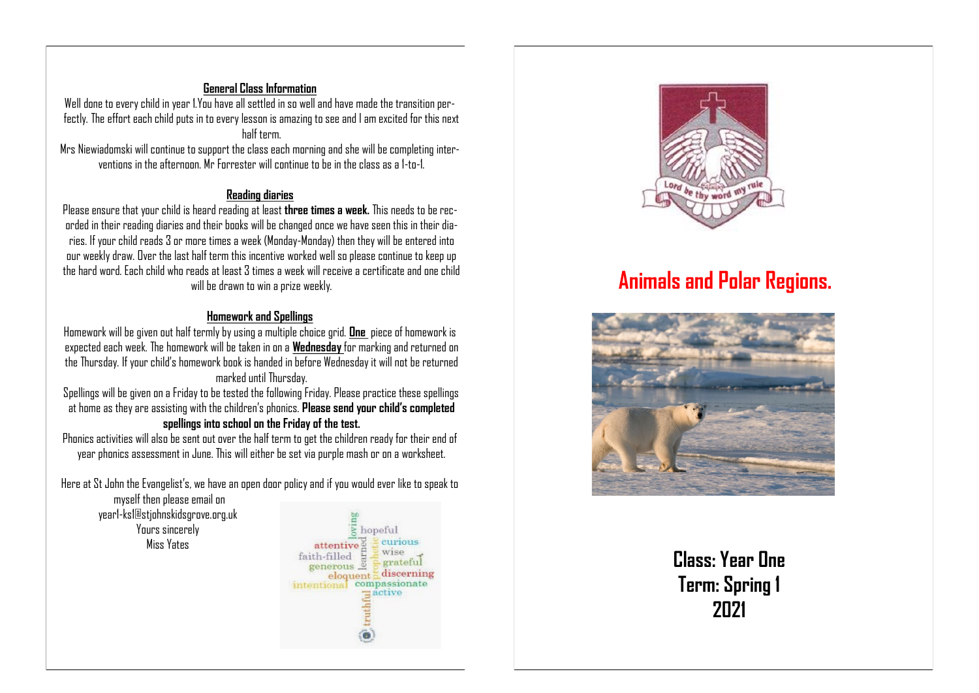## **General Class Information**

Well done to every child in year 1.You have all settled in so well and have made the transition perfectly. The effort each child puts in to every lesson is amazing to see and I am excited for this next half term.

Mrs Niewiadomski will continue to support the class each morning and she will be completing interventions in the afternoon. Mr Forrester will continue to be in the class as a 1-to-1.

#### **Reading diaries**

Please ensure that your child is heard reading at least **three times a week.** This needs to be recorded in their reading diaries and their books will be changed once we have seen this in their diaries. If your child reads 3 or more times a week (Monday-Monday) then they will be entered into our weekly draw. Over the last half term this incentive worked well so please continue to keep up the hard word. Each child who reads at least 3 times a week will receive a certificate and one child will be drawn to win a prize weekly.

#### **Homework and Spellings**

Homework will be given out half termly by using a multiple choice grid. **One** piece of homework is expected each week. The homework will be taken in on a **Wednesday** for marking and returned on the Thursday. If your child's homework book is handed in before Wednesday it will not be returned marked until Thursday.

Spellings will be given on a Friday to be tested the following Friday. Please practice these spellings at home as they are assisting with the children's phonics. **Please send your child's completed spellings into school on the Friday of the test.** 

Phonics activities will also be sent out over the half term to get the children ready for their end of year phonics assessment in June. This will either be set via purple mash or on a worksheet.

Here at St John the Evangelist's, we have an open door policy and if you would ever like to speak to

myself then please email on year1-ks1@stjohnskidsgrove.org.uk Yours sincerely Miss Yates





# **Animals and Polar Regions.**



**Class: Year One Term: Spring 1 2021**